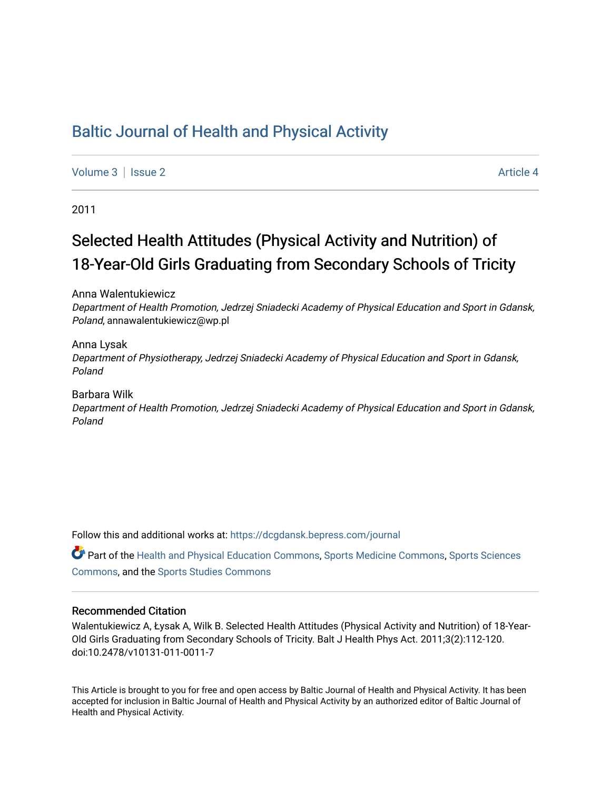# [Baltic Journal of Health and Physical Activity](https://dcgdansk.bepress.com/journal)

[Volume 3](https://dcgdansk.bepress.com/journal/vol3) | [Issue 2](https://dcgdansk.bepress.com/journal/vol3/iss2) Article 4

2011

# Selected Health Attitudes (Physical Activity and Nutrition) of 18-Year-Old Girls Graduating from Secondary Schools of Tricity

Anna Walentukiewicz

Department of Health Promotion, Jedrzej Sniadecki Academy of Physical Education and Sport in Gdansk, Poland, annawalentukiewicz@wp.pl

Anna Lysak Department of Physiotherapy, Jedrzej Sniadecki Academy of Physical Education and Sport in Gdansk, Poland

#### Barbara Wilk

Department of Health Promotion, Jedrzej Sniadecki Academy of Physical Education and Sport in Gdansk, Poland

Follow this and additional works at: [https://dcgdansk.bepress.com/journal](https://dcgdansk.bepress.com/journal?utm_source=dcgdansk.bepress.com%2Fjournal%2Fvol3%2Fiss2%2F4&utm_medium=PDF&utm_campaign=PDFCoverPages)

Part of the [Health and Physical Education Commons](http://network.bepress.com/hgg/discipline/1327?utm_source=dcgdansk.bepress.com%2Fjournal%2Fvol3%2Fiss2%2F4&utm_medium=PDF&utm_campaign=PDFCoverPages), [Sports Medicine Commons,](http://network.bepress.com/hgg/discipline/1331?utm_source=dcgdansk.bepress.com%2Fjournal%2Fvol3%2Fiss2%2F4&utm_medium=PDF&utm_campaign=PDFCoverPages) [Sports Sciences](http://network.bepress.com/hgg/discipline/759?utm_source=dcgdansk.bepress.com%2Fjournal%2Fvol3%2Fiss2%2F4&utm_medium=PDF&utm_campaign=PDFCoverPages) [Commons](http://network.bepress.com/hgg/discipline/759?utm_source=dcgdansk.bepress.com%2Fjournal%2Fvol3%2Fiss2%2F4&utm_medium=PDF&utm_campaign=PDFCoverPages), and the [Sports Studies Commons](http://network.bepress.com/hgg/discipline/1198?utm_source=dcgdansk.bepress.com%2Fjournal%2Fvol3%2Fiss2%2F4&utm_medium=PDF&utm_campaign=PDFCoverPages) 

#### Recommended Citation

Walentukiewicz A, Łysak A, Wilk B. Selected Health Attitudes (Physical Activity and Nutrition) of 18-Year-Old Girls Graduating from Secondary Schools of Tricity. Balt J Health Phys Act. 2011;3(2):112-120. doi:10.2478/v10131-011-0011-7

This Article is brought to you for free and open access by Baltic Journal of Health and Physical Activity. It has been accepted for inclusion in Baltic Journal of Health and Physical Activity by an authorized editor of Baltic Journal of Health and Physical Activity.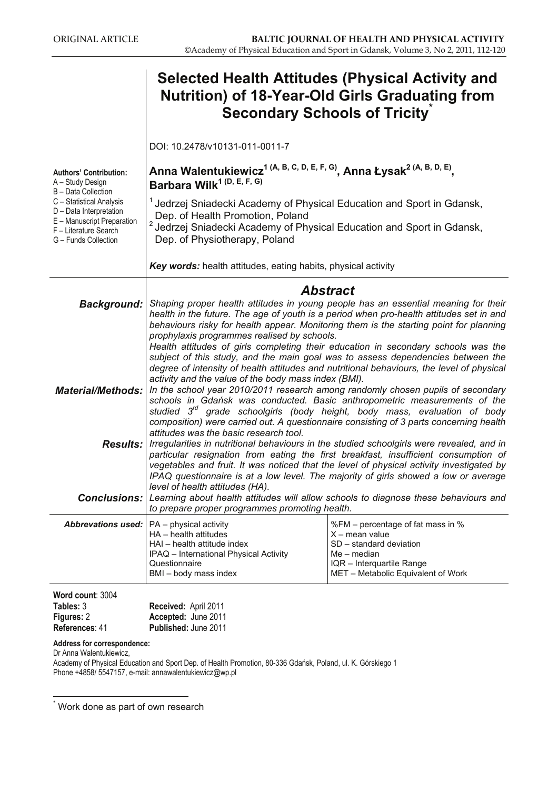|                                                                                                                                    | <b>Selected Health Attitudes (Physical Activity and</b><br><b>Nutrition) of 18-Year-Old Girls Graduating from</b><br><b>Secondary Schools of Tricity</b>                                                                                                                                                                                                                                                                                                                                                                                                                                                                                                                                                                                                                                                                                                                                                                                                                                                                                                     |                                                                                                                                                                      |  |  |  |  |
|------------------------------------------------------------------------------------------------------------------------------------|--------------------------------------------------------------------------------------------------------------------------------------------------------------------------------------------------------------------------------------------------------------------------------------------------------------------------------------------------------------------------------------------------------------------------------------------------------------------------------------------------------------------------------------------------------------------------------------------------------------------------------------------------------------------------------------------------------------------------------------------------------------------------------------------------------------------------------------------------------------------------------------------------------------------------------------------------------------------------------------------------------------------------------------------------------------|----------------------------------------------------------------------------------------------------------------------------------------------------------------------|--|--|--|--|
|                                                                                                                                    | DOI: 10.2478/v10131-011-0011-7                                                                                                                                                                                                                                                                                                                                                                                                                                                                                                                                                                                                                                                                                                                                                                                                                                                                                                                                                                                                                               |                                                                                                                                                                      |  |  |  |  |
| <b>Authors' Contribution:</b><br>A - Study Design<br>B - Data Collection                                                           | Anna Walentukiewicz <sup>1 (A, B, C, D, E, F, G)</sup> , Anna Łysak <sup>2 (A, B, D, E)</sup> ,<br>Barbara Wilk <sup>1 (D, E, F, G)</sup>                                                                                                                                                                                                                                                                                                                                                                                                                                                                                                                                                                                                                                                                                                                                                                                                                                                                                                                    |                                                                                                                                                                      |  |  |  |  |
| C - Statistical Analysis<br>D - Data Interpretation<br>E - Manuscript Preparation<br>F - Literature Search<br>G - Funds Collection | <sup>1</sup> Jedrzej Sniadecki Academy of Physical Education and Sport in Gdansk,<br>Dep. of Health Promotion, Poland<br><sup>2</sup> Jedrzej Sniadecki Academy of Physical Education and Sport in Gdansk,<br>Dep. of Physiotherapy, Poland                                                                                                                                                                                                                                                                                                                                                                                                                                                                                                                                                                                                                                                                                                                                                                                                                  |                                                                                                                                                                      |  |  |  |  |
|                                                                                                                                    | Key words: health attitudes, eating habits, physical activity                                                                                                                                                                                                                                                                                                                                                                                                                                                                                                                                                                                                                                                                                                                                                                                                                                                                                                                                                                                                |                                                                                                                                                                      |  |  |  |  |
| <b>Background:</b>                                                                                                                 | Abstract<br>Shaping proper health attitudes in young people has an essential meaning for their<br>health in the future. The age of youth is a period when pro-health attitudes set in and<br>behaviours risky for health appear. Monitoring them is the starting point for planning<br>prophylaxis programmes realised by schools.<br>Health attitudes of girls completing their education in secondary schools was the<br>subject of this study, and the main goal was to assess dependencies between the<br>degree of intensity of health attitudes and nutritional behaviours, the level of physical<br>activity and the value of the body mass index (BMI).<br>In the school year 2010/2011 research among randomly chosen pupils of secondary<br>schools in Gdańsk was conducted. Basic anthropometric measurements of the<br>studied 3 <sup>rd</sup> grade schoolgirls (body height, body mass, evaluation of body<br>composition) were carried out. A questionnaire consisting of 3 parts concerning health<br>attitudes was the basic research tool. |                                                                                                                                                                      |  |  |  |  |
|                                                                                                                                    |                                                                                                                                                                                                                                                                                                                                                                                                                                                                                                                                                                                                                                                                                                                                                                                                                                                                                                                                                                                                                                                              |                                                                                                                                                                      |  |  |  |  |
| <b>Material/Methods:</b>                                                                                                           |                                                                                                                                                                                                                                                                                                                                                                                                                                                                                                                                                                                                                                                                                                                                                                                                                                                                                                                                                                                                                                                              |                                                                                                                                                                      |  |  |  |  |
| <b>Results:</b>                                                                                                                    | Irregularities in nutritional behaviours in the studied schoolgirls were revealed, and in<br>particular resignation from eating the first breakfast, insufficient consumption of<br>vegetables and fruit. It was noticed that the level of physical activity investigated by<br>IPAQ questionnaire is at a low level. The majority of girls showed a low or average<br>level of health attitudes (HA).                                                                                                                                                                                                                                                                                                                                                                                                                                                                                                                                                                                                                                                       |                                                                                                                                                                      |  |  |  |  |
| <b>Conclusions:</b>                                                                                                                | Learning about health attitudes will allow schools to diagnose these behaviours and<br>to prepare proper programmes promoting health.                                                                                                                                                                                                                                                                                                                                                                                                                                                                                                                                                                                                                                                                                                                                                                                                                                                                                                                        |                                                                                                                                                                      |  |  |  |  |
| <b>Abbrevations used:</b>                                                                                                          | PA - physical activity<br>HA - health attitudes<br>HAI - health attitude index<br>IPAQ - International Physical Activity<br>Questionnaire<br>BMI - body mass index                                                                                                                                                                                                                                                                                                                                                                                                                                                                                                                                                                                                                                                                                                                                                                                                                                                                                           | %FM - percentage of fat mass in %<br>$X$ – mean value<br>SD - standard deviation<br>$Me$ – median<br>IQR - Interquartile Range<br>MET - Metabolic Equivalent of Work |  |  |  |  |
| Word count: 3004<br>Tables: 3<br>Figures: 2                                                                                        | Received: April 2011<br>Accepted: June 2011                                                                                                                                                                                                                                                                                                                                                                                                                                                                                                                                                                                                                                                                                                                                                                                                                                                                                                                                                                                                                  |                                                                                                                                                                      |  |  |  |  |

| References: 41 |                             |
|----------------|-----------------------------|
|                | <b>Published: June 2011</b> |

#### **Address for correspondence:**

Dr Anna Walentukiewicz,

Academy of Physical Education and Sport Dep. of Health Promotion, 80-336 Gdańsk, Poland, ul. K. Górskiego 1 Phone +4858/ 5547157, e-mail: annawalentukiewicz@wp.pl

 \* Work done as part of own research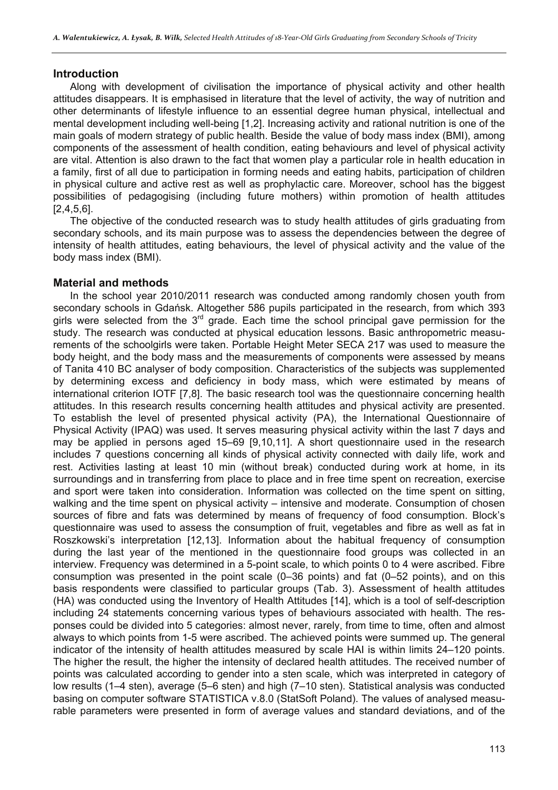#### **Introduction**

Along with development of civilisation the importance of physical activity and other health attitudes disappears. It is emphasised in literature that the level of activity, the way of nutrition and other determinants of lifestyle influence to an essential degree human physical, intellectual and mental development including well-being [1,2]. Increasing activity and rational nutrition is one of the main goals of modern strategy of public health. Beside the value of body mass index (BMI), among components of the assessment of health condition, eating behaviours and level of physical activity are vital. Attention is also drawn to the fact that women play a particular role in health education in a family, first of all due to participation in forming needs and eating habits, participation of children in physical culture and active rest as well as prophylactic care. Moreover, school has the biggest possibilities of pedagogising (including future mothers) within promotion of health attitudes [2,4,5,6].

The objective of the conducted research was to study health attitudes of girls graduating from secondary schools, and its main purpose was to assess the dependencies between the degree of intensity of health attitudes, eating behaviours, the level of physical activity and the value of the body mass index (BMI).

#### **Material and methods**

In the school year 2010/2011 research was conducted among randomly chosen youth from secondary schools in Gdańsk. Altogether 586 pupils participated in the research, from which 393 girls were selected from the 3<sup>rd</sup> grade. Each time the school principal gave permission for the study. The research was conducted at physical education lessons. Basic anthropometric measurements of the schoolgirls were taken. Portable Height Meter SECA 217 was used to measure the body height, and the body mass and the measurements of components were assessed by means of Tanita 410 BC analyser of body composition. Characteristics of the subjects was supplemented by determining excess and deficiency in body mass, which were estimated by means of international criterion IOTF [7,8]. The basic research tool was the questionnaire concerning health attitudes. In this research results concerning health attitudes and physical activity are presented. To establish the level of presented physical activity (PA), the International Questionnaire of Physical Activity (IPAQ) was used. It serves measuring physical activity within the last 7 days and may be applied in persons aged 15–69 [9,10,11]. A short questionnaire used in the research includes 7 questions concerning all kinds of physical activity connected with daily life, work and rest. Activities lasting at least 10 min (without break) conducted during work at home, in its surroundings and in transferring from place to place and in free time spent on recreation, exercise and sport were taken into consideration. Information was collected on the time spent on sitting, walking and the time spent on physical activity – intensive and moderate. Consumption of chosen sources of fibre and fats was determined by means of frequency of food consumption. Block's questionnaire was used to assess the consumption of fruit, vegetables and fibre as well as fat in Roszkowski's interpretation [12,13]. Information about the habitual frequency of consumption during the last year of the mentioned in the questionnaire food groups was collected in an interview. Frequency was determined in a 5-point scale, to which points 0 to 4 were ascribed. Fibre consumption was presented in the point scale (0–36 points) and fat (0–52 points), and on this basis respondents were classified to particular groups (Tab. 3). Assessment of health attitudes (HA) was conducted using the Inventory of Health Attitudes [14], which is a tool of self-description including 24 statements concerning various types of behaviours associated with health. The responses could be divided into 5 categories: almost never, rarely, from time to time, often and almost always to which points from 1-5 were ascribed. The achieved points were summed up. The general indicator of the intensity of health attitudes measured by scale HAI is within limits 24–120 points. The higher the result, the higher the intensity of declared health attitudes. The received number of points was calculated according to gender into a sten scale, which was interpreted in category of low results (1–4 sten), average (5–6 sten) and high (7–10 sten). Statistical analysis was conducted basing on computer software STATISTICA v.8.0 (StatSoft Poland). The values of analysed measurable parameters were presented in form of average values and standard deviations, and of the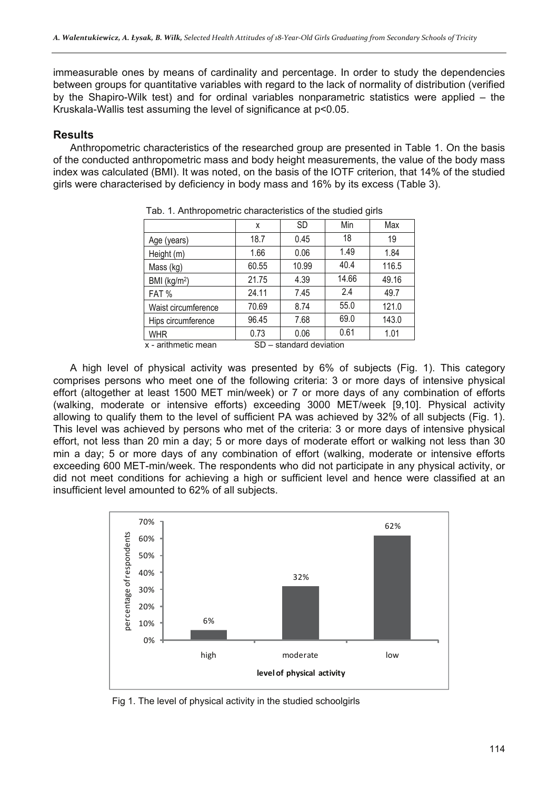immeasurable ones by means of cardinality and percentage. In order to study the dependencies between groups for quantitative variables with regard to the lack of normality of distribution (verified by the Shapiro-Wilk test) and for ordinal variables nonparametric statistics were applied – the Kruskala-Wallis test assuming the level of significance at p<0.05.

## **Results**

Anthropometric characteristics of the researched group are presented in Table 1. On the basis of the conducted anthropometric mass and body height measurements, the value of the body mass index was calculated (BMI). It was noted, on the basis of the IOTF criterion, that 14% of the studied girls were characterised by deficiency in body mass and 16% by its excess (Table 3).

|                                                | X     | <b>SD</b> | Min   | Max   |  |
|------------------------------------------------|-------|-----------|-------|-------|--|
| Age (years)                                    | 18.7  | 0.45      | 18    | 19    |  |
| Height (m)                                     | 1.66  | 0.06      | 1.49  | 1.84  |  |
| Mass (kg)                                      | 60.55 | 10.99     | 40.4  | 116.5 |  |
| BMI (kg/m <sup>2</sup> )                       | 21.75 | 4.39      | 14.66 | 49.16 |  |
| FAT%                                           | 24.11 | 7.45      | 2.4   | 49.7  |  |
| Waist circumference                            | 70.69 | 8.74      | 55.0  | 121.0 |  |
| Hips circumference                             | 96.45 | 7.68      | 69.0  | 143.0 |  |
| <b>WHR</b>                                     | 0.73  | 0.06      | 0.61  | 1.01  |  |
| x - arithmetic mean<br>SD - standard deviation |       |           |       |       |  |

Tab. 1. Anthropometric characteristics of the studied girls

A high level of physical activity was presented by 6% of subjects (Fig. 1). This category comprises persons who meet one of the following criteria: 3 or more days of intensive physical effort (altogether at least 1500 MET min/week) or 7 or more days of any combination of efforts (walking, moderate or intensive efforts) exceeding 3000 MET/week [9,10]. Physical activity allowing to qualify them to the level of sufficient PA was achieved by 32% of all subjects (Fig. 1). This level was achieved by persons who met of the criteria: 3 or more days of intensive physical effort, not less than 20 min a day; 5 or more days of moderate effort or walking not less than 30 min a day; 5 or more days of any combination of effort (walking, moderate or intensive efforts exceeding 600 MET-min/week. The respondents who did not participate in any physical activity, or did not meet conditions for achieving a high or sufficient level and hence were classified at an insufficient level amounted to 62% of all subjects.



Fig 1. The level of physical activity in the studied schoolgirls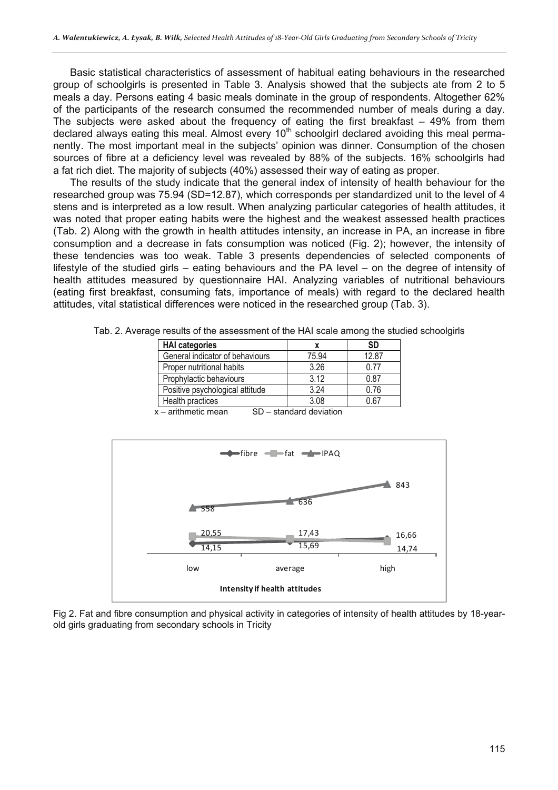Basic statistical characteristics of assessment of habitual eating behaviours in the researched group of schoolgirls is presented in Table 3. Analysis showed that the subjects ate from 2 to 5 meals a day. Persons eating 4 basic meals dominate in the group of respondents. Altogether 62% of the participants of the research consumed the recommended number of meals during a day. The subjects were asked about the frequency of eating the first breakfast  $-$  49% from them declared always eating this meal. Almost every 10<sup>th</sup> schoolgirl declared avoiding this meal permanently. The most important meal in the subjects' opinion was dinner. Consumption of the chosen sources of fibre at a deficiency level was revealed by 88% of the subjects. 16% schoolgirls had a fat rich diet. The majority of subjects (40%) assessed their way of eating as proper.

The results of the study indicate that the general index of intensity of health behaviour for the researched group was 75.94 (SD=12.87), which corresponds per standardized unit to the level of 4 stens and is interpreted as a low result. When analyzing particular categories of health attitudes, it was noted that proper eating habits were the highest and the weakest assessed health practices (Tab. 2) Along with the growth in health attitudes intensity, an increase in PA, an increase in fibre consumption and a decrease in fats consumption was noticed (Fig. 2); however, the intensity of these tendencies was too weak. Table 3 presents dependencies of selected components of lifestyle of the studied girls – eating behaviours and the PA level – on the degree of intensity of health attitudes measured by questionnaire HAI. Analyzing variables of nutritional behaviours (eating first breakfast, consuming fats, importance of meals) with regard to the declared health attitudes, vital statistical differences were noticed in the researched group (Tab. 3).

| <b>HAI categories</b>           | x                               | SD    |
|---------------------------------|---------------------------------|-------|
| General indicator of behaviours | 75.94                           | 12.87 |
| Proper nutritional habits       | 3.26                            | 0.77  |
| Prophylactic behaviours         | 3.12                            | 0.87  |
| Positive psychological attitude | 3.24                            | 0.76  |
| Health practices                | 3.08                            | ) 67  |
| --                              | $\cdot$ $\cdot$<br>$\mathbf{r}$ |       |

Tab. 2. Average results of the assessment of the HAI scale among the studied schoolgirls



x – arithmetic mean SD – standard deviation

Fig 2. Fat and fibre consumption and physical activity in categories of intensity of health attitudes by 18-yearold girls graduating from secondary schools in Tricity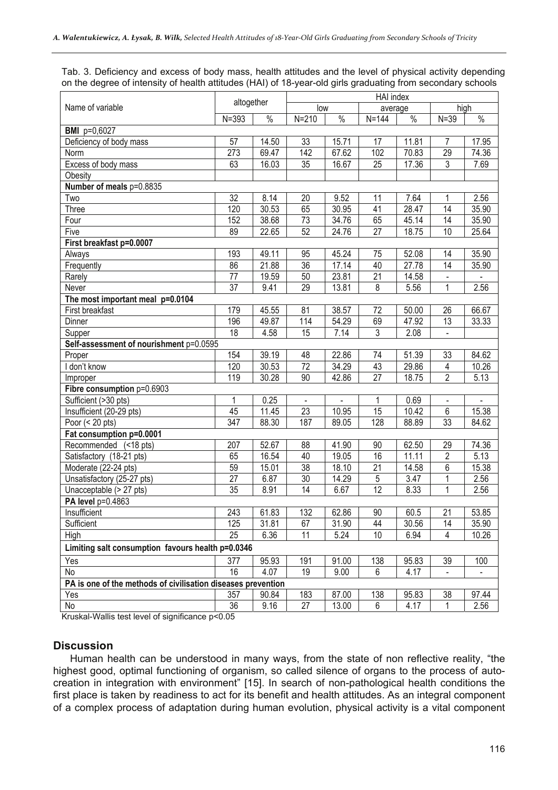Tab. 3. Deficiency and excess of body mass, health attitudes and the level of physical activity depending on the degree of intensity of health attitudes (HAI) of 18-year-old girls graduating from secondary schools

|                                                              | altogether       |       | HAI index        |               |                 |       |                 |       |
|--------------------------------------------------------------|------------------|-------|------------------|---------------|-----------------|-------|-----------------|-------|
| Name of variable                                             |                  |       | low              |               | average         |       | high            |       |
|                                                              | $N = 393$        | $\%$  | $N = 210$        | $\frac{0}{6}$ | $N = 144$       | $\%$  | $N = 39$        | $\%$  |
| <b>BMI</b> p=0,6027                                          |                  |       |                  |               |                 |       |                 |       |
| Deficiency of body mass                                      | 57               | 14.50 | 33               | 15.71         | 17              | 11.81 | $\overline{7}$  | 17.95 |
| Norm                                                         | 273              | 69.47 | $\overline{142}$ | 67.62         | 102             | 70.83 | 29              | 74.36 |
| Excess of body mass                                          | 63               | 16.03 | $\overline{35}$  | 16.67         | $\overline{25}$ | 17.36 | $\overline{3}$  | 7.69  |
| Obesity                                                      |                  |       |                  |               |                 |       |                 |       |
| Number of meals p=0.8835                                     |                  |       |                  |               |                 |       |                 |       |
| Two                                                          | $\overline{32}$  | 8.14  | 20               | 9.52          | 11              | 7.64  | 1               | 2.56  |
| Three                                                        | 120              | 30.53 | 65               | 30.95         | 41              | 28.47 | $\overline{14}$ | 35.90 |
| Four                                                         | 152              | 38.68 | 73               | 34.76         | 65              | 45.14 | 14              | 35.90 |
| Five                                                         | 89               | 22.65 | 52               | 24.76         | 27              | 18.75 | 10              | 25.64 |
| First breakfast p=0.0007                                     |                  |       |                  |               |                 |       |                 |       |
| Always                                                       | 193              | 49.11 | 95               | 45.24         | 75              | 52.08 | 14              | 35.90 |
| Frequently                                                   | 86               | 21.88 | 36               | 17.14         | 40              | 27.78 | 14              | 35.90 |
| Rarely                                                       | 77               | 19.59 | 50               | 23.81         | 21              | 14.58 |                 |       |
| Never                                                        | 37               | 9.41  | 29               | 13.81         | 8               | 5.56  | 1               | 2.56  |
| The most important meal p=0.0104                             |                  |       |                  |               |                 |       |                 |       |
| First breakfast                                              | 179              | 45.55 | 81               | 38.57         | 72              | 50.00 | 26              | 66.67 |
| Dinner                                                       | 196              | 49.87 | 114              | 54.29         | 69              | 47.92 | 13              | 33.33 |
| Supper                                                       | $\overline{18}$  | 4.58  | 15               | 7.14          | 3               | 2.08  |                 |       |
| Self-assessment of nourishment p=0.0595                      |                  |       |                  |               |                 |       |                 |       |
| Proper                                                       | 154              | 39.19 | 48               | 22.86         | 74              | 51.39 | 33              | 84.62 |
| I don't know                                                 | 120              | 30.53 | $\overline{72}$  | 34.29         | 43              | 29.86 | 4               | 10.26 |
| Improper                                                     | 119              | 30.28 | 90               | 42.86         | $\overline{27}$ | 18.75 | $\overline{2}$  | 5.13  |
| Fibre consumption p=0.6903                                   |                  |       |                  |               |                 |       |                 |       |
| Sufficient (>30 pts)                                         | 1                | 0.25  |                  | $\mathbf{r}$  | 1               | 0.69  |                 |       |
| Insufficient (20-29 pts)                                     | 45               | 11.45 | $\overline{23}$  | 10.95         | 15              | 10.42 | 6               | 15.38 |
| Poor $(20 \text{ pts})$                                      | $\overline{347}$ | 88.30 | 187              | 89.05         | 128             | 88.89 | 33              | 84.62 |
| Fat consumption p=0.0001                                     |                  |       |                  |               |                 |       |                 |       |
| Recommended (<18 pts)                                        | 207              | 52.67 | 88               | 41.90         | 90              | 62.50 | 29              | 74.36 |
| Satisfactory (18-21 pts)                                     | 65               | 16.54 | 40               | 19.05         | 16              | 11.11 | $\overline{2}$  | 5.13  |
| Moderate (22-24 pts)                                         | 59               | 15.01 | 38               | 18.10         | $\overline{21}$ | 14.58 | 6               | 15.38 |
| Unsatisfactory (25-27 pts)                                   | $\overline{27}$  | 6.87  | 30               | 14.29         | 5               | 3.47  | 1               | 2.56  |
| Unacceptable (> 27 pts)                                      | 35               | 8.91  | 14               | 6.67          | $\overline{12}$ | 8.33  | 1               | 2.56  |
| PA level p=0.4863                                            |                  |       |                  |               |                 |       |                 |       |
| Insufficient                                                 | 243              | 61.83 | 132              | 62.86         | $90\,$          | 60.5  | $\overline{21}$ | 53.85 |
| Sufficient                                                   | 125              | 31.81 | 67               | 31.90         | 44              | 30.56 | 14              | 35.90 |
| High                                                         | $\overline{25}$  | 6.36  | 11               | 5.24          | 10              | 6.94  | 4               | 10.26 |
| Limiting salt consumption favours health p=0.0346            |                  |       |                  |               |                 |       |                 |       |
| Yes                                                          | 377              | 95.93 | 191              | 91.00         | 138             | 95.83 | 39              | 100   |
| No                                                           | 16               | 4.07  | 19               | 9.00          | 6               | 4.17  | $\blacksquare$  |       |
| PA is one of the methods of civilisation diseases prevention |                  |       |                  |               |                 |       |                 |       |
| Yes                                                          | 357              | 90.84 | 183              | 87.00         | 138             | 95.83 | 38              | 97.44 |
| No                                                           | 36               | 9.16  | 27               | 13.00         | 6               | 4.17  | 1               | 2.56  |

Kruskal-Wallis test level of significance p<0.05

#### **Discussion**

Human health can be understood in many ways, from the state of non reflective reality, "the highest good, optimal functioning of organism, so called silence of organs to the process of autocreation in integration with environment" [15]. In search of non-pathological health conditions the first place is taken by readiness to act for its benefit and health attitudes. As an integral component of a complex process of adaptation during human evolution, physical activity is a vital component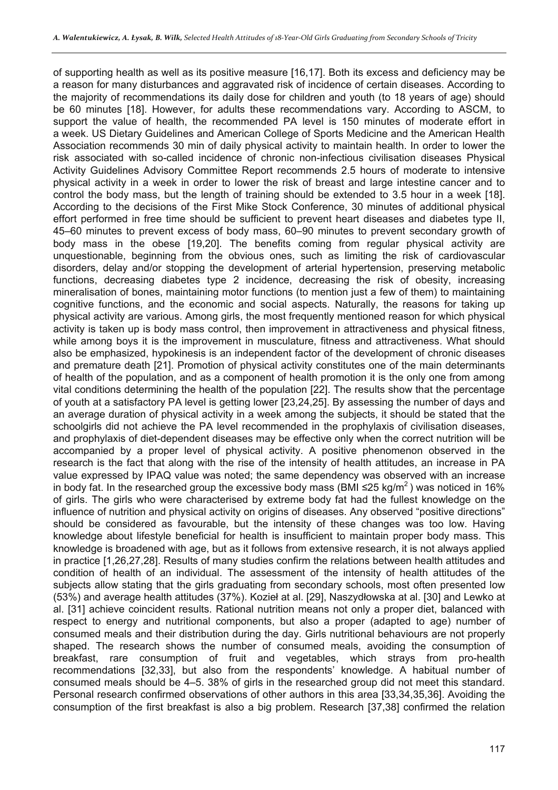of supporting health as well as its positive measure [16,17]. Both its excess and deficiency may be a reason for many disturbances and aggravated risk of incidence of certain diseases. According to the majority of recommendations its daily dose for children and youth (to 18 years of age) should be 60 minutes [18]. However, for adults these recommendations vary. According to ASCM, to support the value of health, the recommended PA level is 150 minutes of moderate effort in a week. US Dietary Guidelines and American College of Sports Medicine and the American Health Association recommends 30 min of daily physical activity to maintain health. In order to lower the risk associated with so-called incidence of chronic non-infectious civilisation diseases Physical Activity Guidelines Advisory Committee Report recommends 2.5 hours of moderate to intensive physical activity in a week in order to lower the risk of breast and large intestine cancer and to control the body mass, but the length of training should be extended to 3.5 hour in a week [18]. According to the decisions of the First Mike Stock Conference, 30 minutes of additional physical effort performed in free time should be sufficient to prevent heart diseases and diabetes type II, 45–60 minutes to prevent excess of body mass, 60–90 minutes to prevent secondary growth of body mass in the obese [19,20]. The benefits coming from regular physical activity are unquestionable, beginning from the obvious ones, such as limiting the risk of cardiovascular disorders, delay and/or stopping the development of arterial hypertension, preserving metabolic functions, decreasing diabetes type 2 incidence, decreasing the risk of obesity, increasing mineralisation of bones, maintaining motor functions (to mention just a few of them) to maintaining cognitive functions, and the economic and social aspects. Naturally, the reasons for taking up physical activity are various. Among girls, the most frequently mentioned reason for which physical activity is taken up is body mass control, then improvement in attractiveness and physical fitness, while among boys it is the improvement in musculature, fitness and attractiveness. What should also be emphasized, hypokinesis is an independent factor of the development of chronic diseases and premature death [21]. Promotion of physical activity constitutes one of the main determinants of health of the population, and as a component of health promotion it is the only one from among vital conditions determining the health of the population [22]. The results show that the percentage of youth at a satisfactory PA level is getting lower [23,24,25]. By assessing the number of days and an average duration of physical activity in a week among the subjects, it should be stated that the schoolgirls did not achieve the PA level recommended in the prophylaxis of civilisation diseases, and prophylaxis of diet-dependent diseases may be effective only when the correct nutrition will be accompanied by a proper level of physical activity. A positive phenomenon observed in the research is the fact that along with the rise of the intensity of health attitudes, an increase in PA value expressed by IPAQ value was noted; the same dependency was observed with an increase in body fat. In the researched group the excessive body mass (BMI ≤25 kg/m<sup>2</sup>) was noticed in 16% of girls. The girls who were characterised by extreme body fat had the fullest knowledge on the influence of nutrition and physical activity on origins of diseases. Any observed "positive directions" should be considered as favourable, but the intensity of these changes was too low. Having knowledge about lifestyle beneficial for health is insufficient to maintain proper body mass. This knowledge is broadened with age, but as it follows from extensive research, it is not always applied in practice [1,26,27,28]. Results of many studies confirm the relations between health attitudes and condition of health of an individual. The assessment of the intensity of health attitudes of the subjects allow stating that the girls graduating from secondary schools, most often presented low (53%) and average health attitudes (37%). Kozieł at al. [29], Naszydłowska at al. [30] and Lewko at al. [31] achieve coincident results. Rational nutrition means not only a proper diet, balanced with respect to energy and nutritional components, but also a proper (adapted to age) number of consumed meals and their distribution during the day. Girls nutritional behaviours are not properly shaped. The research shows the number of consumed meals, avoiding the consumption of breakfast, rare consumption of fruit and vegetables, which strays from pro-health recommendations [32,33], but also from the respondents' knowledge. A habitual number of consumed meals should be 4–5. 38% of girls in the researched group did not meet this standard. Personal research confirmed observations of other authors in this area [33,34,35,36]. Avoiding the consumption of the first breakfast is also a big problem. Research [37,38] confirmed the relation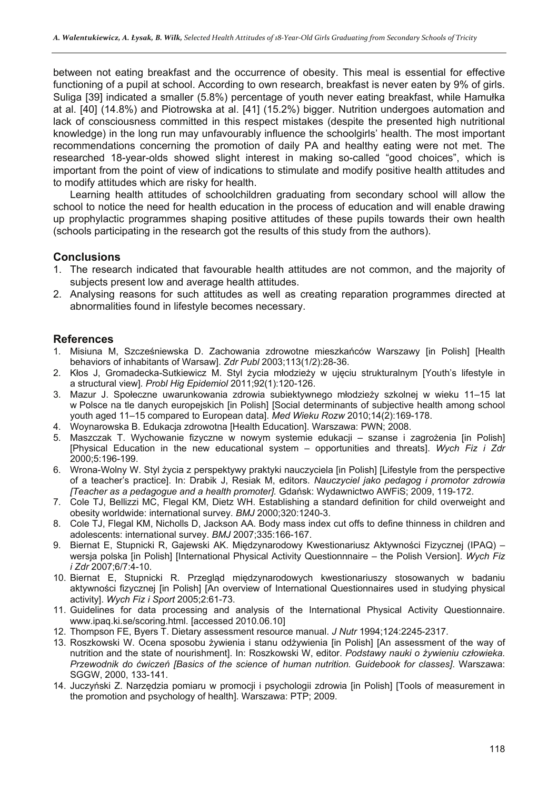between not eating breakfast and the occurrence of obesity. This meal is essential for effective functioning of a pupil at school. According to own research, breakfast is never eaten by 9% of girls. Suliga [39] indicated a smaller (5.8%) percentage of youth never eating breakfast, while Hamułka at al. [40] (14.8%) and Piotrowska at al. [41] (15.2%) bigger. Nutrition undergoes automation and lack of consciousness committed in this respect mistakes (despite the presented high nutritional knowledge) in the long run may unfavourably influence the schoolgirls' health. The most important recommendations concerning the promotion of daily PA and healthy eating were not met. The researched 18-year-olds showed slight interest in making so-called "good choices", which is important from the point of view of indications to stimulate and modify positive health attitudes and to modify attitudes which are risky for health.

Learning health attitudes of schoolchildren graduating from secondary school will allow the school to notice the need for health education in the process of education and will enable drawing up prophylactic programmes shaping positive attitudes of these pupils towards their own health (schools participating in the research got the results of this study from the authors).

# **Conclusions**

- 1. The research indicated that favourable health attitudes are not common, and the majority of subjects present low and average health attitudes.
- 2. Analysing reasons for such attitudes as well as creating reparation programmes directed at abnormalities found in lifestyle becomes necessary.

## **References**

- 1. Misiuna M, Szcześniewska D. Zachowania zdrowotne mieszkańców Warszawy [in Polish] [Health behaviors of inhabitants of Warsaw]. *Zdr Publ* 2003;113(1/2):28-36.
- 2. Kłos J, Gromadecka-Sutkiewicz M. Styl życia młodzieży w ujęciu strukturalnym [Youth's lifestyle in a structural view]. *Probl Hig Epidemiol* 2011;92(1):120-126.
- 3. Mazur J. Społeczne uwarunkowania zdrowia subiektywnego młodzieży szkolnej w wieku 11–15 lat w Polsce na tle danych europejskich [in Polish] [Social determinants of subjective health among school youth aged 11–15 compared to European data]. *Med Wieku Rozw* 2010;14(2):169-178.
- 4. Woynarowska B. Edukacja zdrowotna [Health Education]. Warszawa: PWN; 2008.
- 5. Maszczak T. Wychowanie fizyczne w nowym systemie edukacji szanse i zagrożenia [in Polish] [Physical Education in the new educational system – opportunities and threats]. *Wych Fiz i Zdr* 2000;5:196-199.
- 6. Wrona-Wolny W. Styl życia z perspektywy praktyki nauczyciela [in Polish] [Lifestyle from the perspective of a teacher's practice]. In: Drabik J, Resiak M, editors. *Nauczyciel jako pedagog i promotor zdrowia [Teacher as a pedagogue and a health promoter].* Gdańsk: Wydawnictwo AWFiS; 2009, 119-172.
- 7. Cole TJ, Bellizzi MC, Flegal KM, Dietz WH. Establishing a standard definition for child overweight and obesity worldwide: international survey. *BMJ* 2000;320:1240-3.
- 8. Cole TJ, Flegal KM, Nicholls D, Jackson AA. Body mass index cut offs to define thinness in children and adolescents: international survey. *BMJ* 2007;335:166-167.
- 9. Biernat E, Stupnicki R, Gajewski AK. Międzynarodowy Kwestionariusz Aktywności Fizycznej (IPAQ) wersja polska [in Polish] [International Physical Activity Questionnnaire – the Polish Version]. *Wych Fiz i Zdr* 2007;6/7:4-10.
- 10. Biernat E, Stupnicki R. Przegląd międzynarodowych kwestionariuszy stosowanych w badaniu aktywności fizycznej [in Polish] [An overview of International Questionnaires used in studying physical activity]. *Wych Fiz i Sport* 2005;2:61-73.
- 11. Guidelines for data processing and analysis of the International Physical Activity Questionnaire. www.ipaq.ki.se/scoring.html. [accessed 2010.06.10]
- 12. Thompson FE, Byers T. Dietary assessment resource manual. *J Nutr* 1994;124:2245-2317.
- 13. Roszkowski W. Ocena sposobu żywienia i stanu odżywienia [in Polish] [An assessment of the way of nutrition and the state of nourishment]. In: Roszkowski W, editor. *Podstawy nauki o żywieniu człowieka. Przewodnik do ćwiczeń [Basics of the science of human nutrition. Guidebook for classes]*. Warszawa: SGGW, 2000, 133-141.
- 14. Juczyński Z. Narzędzia pomiaru w promocji i psychologii zdrowia [in Polish] [Tools of measurement in the promotion and psychology of health]. Warszawa: PTP; 2009.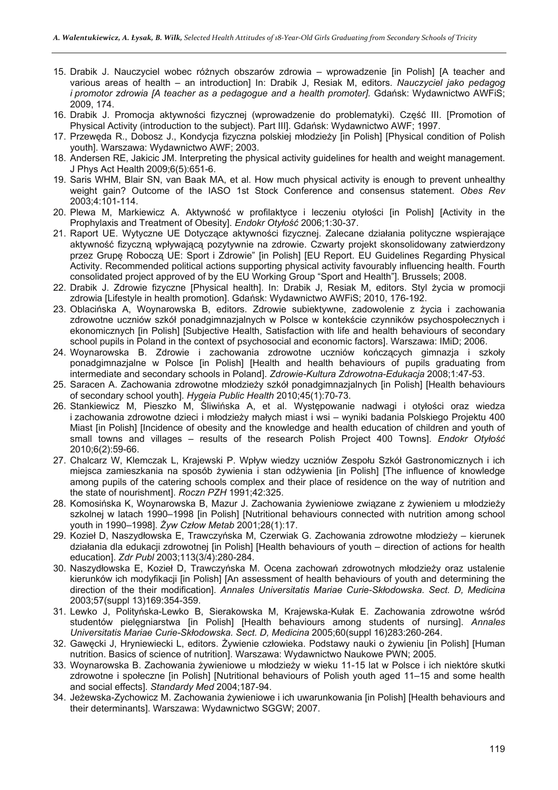- 15. Drabik J. Nauczyciel wobec różnych obszarów zdrowia wprowadzenie [in Polish] [A teacher and various areas of health – an introduction] In: Drabik J, Resiak M, editors. *Nauczyciel jako pedagog i promotor zdrowia [A teacher as a pedagogue and a health promoter].* Gdańsk: Wydawnictwo AWFiS; 2009, 174.
- 16. Drabik J. Promocja aktywności fizycznej (wprowadzenie do problematyki). Część III. [Promotion of Physical Activity (introduction to the subject). Part III]. Gdańsk: Wydawnictwo AWF; 1997.
- 17. Przewęda R., Dobosz J., Kondycja fizyczna polskiej młodzieży [in Polish] [Physical condition of Polish youth]. Warszawa: Wydawnictwo AWF; 2003.
- 18. Andersen RE, Jakicic JM. Interpreting the physical activity guidelines for health and weight management. J Phys Act Health 2009;6(5):651-6.
- 19. Saris WHM, Blair SN, van Baak MA, et al. How much physical activity is enough to prevent unhealthy weight gain? Outcome of the IASO 1st Stock Conference and consensus statement. *Obes Rev* 2003;4:101-114.
- 20. Plewa M, Markiewicz A. Aktywność w profilaktyce i leczeniu otyłości [in Polish] [Activity in the Prophylaxis and Treatment of Obesity]. *Endokr Otyłość* 2006;1:30-37.
- 21. Raport UE. Wytyczne UE Dotyczące aktywności fizycznej. Zalecane działania polityczne wspierające aktywność fizyczną wpływającą pozytywnie na zdrowie. Czwarty projekt skonsolidowany zatwierdzony przez Grupę Roboczą UE: Sport i Zdrowie" [in Polish] [EU Report. EU Guidelines Regarding Physical Activity. Recommended political actions supporting physical activity favourably influencing health. Fourth consolidated project approved of by the EU Working Group "Sport and Health"]. Brussels; 2008.
- 22. Drabik J. Zdrowie fizyczne [Physical health]. In: Drabik J, Resiak M, editors. Styl życia w promocji zdrowia [Lifestyle in health promotion]. Gdańsk: Wydawnictwo AWFiS; 2010, 176-192.
- 23. Oblacińska A, Woynarowska B, editors. Zdrowie subiektywne, zadowolenie z życia i zachowania zdrowotne uczniów szkół ponadgimnazjalnych w Polsce w kontekście czynników psychospołecznych i ekonomicznych [in Polish] [Subjective Health, Satisfaction with life and health behaviours of secondary school pupils in Poland in the context of psychosocial and economic factors]. Warszawa: IMiD; 2006.
- 24. Woynarowska B. Zdrowie i zachowania zdrowotne uczniów kończących gimnazja i szkoły ponadgimnazjalne w Polsce [in Polish] [Health and health behaviours of pupils graduating from intermediate and secondary schools in Poland]. *Zdrowie-Kultura Zdrowotna-Edukacja* 2008;1:47-53.
- 25. Saracen A. Zachowania zdrowotne młodzieży szkół ponadgimnazjalnych [in Polish] [Health behaviours of secondary school youth]. *Hygeia Public Health* 2010;45(1):70-73.
- 26. Stankiewicz M, Pieszko M, Śliwińska A, et al. Występowanie nadwagi i otyłości oraz wiedza i zachowania zdrowotne dzieci i młodzieży małych miast i wsi – wyniki badania Polskiego Projektu 400 Miast [in Polish] [Incidence of obesity and the knowledge and health education of children and youth of small towns and villages – results of the research Polish Project 400 Towns]. *Endokr Otyłość* 2010;6(2):59-66.
- 27. Chalcarz W, Klemczak L, Krajewski P. Wpływ wiedzy uczniów Zespołu Szkół Gastronomicznych i ich miejsca zamieszkania na sposób żywienia i stan odżywienia [in Polish] [The influence of knowledge among pupils of the catering schools complex and their place of residence on the way of nutrition and the state of nourishment]. *Roczn PZH* 1991;42:325.
- 28. Komosińska K, Woynarowska B, Mazur J. Zachowania żywieniowe związane z żywieniem u młodzieży szkolnej w latach 1990–1998 [in Polish] [Nutritional behaviours connected with nutrition among school youth in 1990–1998]. *Żyw Człow Metab* 2001;28(1):17.
- 29. Kozieł D, Naszydłowska E, Trawczyńska M, Czerwiak G. Zachowania zdrowotne młodzieży kierunek działania dla edukacji zdrowotnej [in Polish] [Health behaviours of youth – direction of actions for health education]. *Zdr Publ* 2003;113(3/4):280-284.
- 30. Naszydłowska E, Kozieł D, Trawczyńska M. Ocena zachowań zdrowotnych młodzieży oraz ustalenie kierunków ich modyfikacji [in Polish] [An assessment of health behaviours of youth and determining the direction of the their modification]. *Annales Universitatis Mariae Curie-Skłodowska. Sect. D, Medicina* 2003;57(suppl 13)169:354-359.
- 31. Lewko J, Polityńska-Lewko B, Sierakowska M, Krajewska-Kułak E. Zachowania zdrowotne wśród studentów pielęgniarstwa [in Polish] [Health behaviours among students of nursing]. *Annales Universitatis Mariae Curie-Skłodowska. Sect. D, Medicina* 2005;60(suppl 16)283:260-264.
- 32. Gawęcki J, Hryniewiecki L, editors. Żywienie człowieka. Podstawy nauki o żywieniu [in Polish] [Human nutrition. Basics of science of nutrition]. Warszawa: Wydawnictwo Naukowe PWN; 2005.
- 33. Woynarowska B. Zachowania żywieniowe u młodzieży w wieku 11-15 lat w Polsce i ich niektóre skutki zdrowotne i społeczne [in Polish] [Nutritional behaviours of Polish youth aged 11–15 and some health and social effects]. *Standardy Med* 2004;187-94.
- 34. Jeżewska-Zychowicz M. Zachowania żywieniowe i ich uwarunkowania [in Polish] [Health behaviours and their determinants]. Warszawa: Wydawnictwo SGGW; 2007.